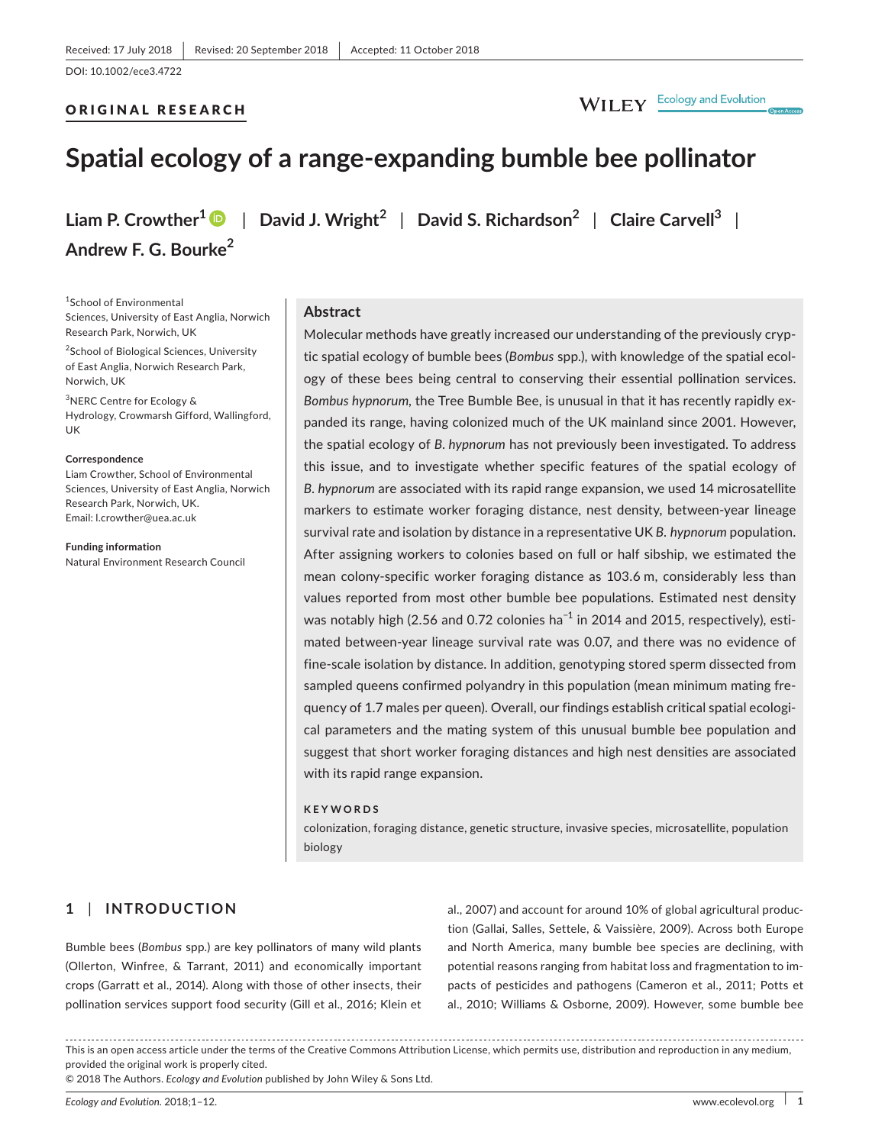# ORIGINAL RESEARCH



# **Spatial ecology of a range‐expanding bumble bee pollinator**

**Liam P. Crowther<sup>1</sup>** | **David J. Wright<sup>2</sup>** | **David S. Richardson<sup>2</sup>** | **Claire Carvell<sup>3</sup>** | **Andrew F. G. Bourke<sup>2</sup>**

1 School of Environmental Sciences, University of East Anglia, Norwich Research Park, Norwich, UK

<sup>2</sup>School of Biological Sciences, University of East Anglia, Norwich Research Park, Norwich, UK

3 NERC Centre for Ecology & Hydrology, Crowmarsh Gifford, Wallingford, UK

#### **Correspondence**

Liam Crowther, School of Environmental Sciences, University of East Anglia, Norwich Research Park, Norwich, UK. Email: [l.crowther@uea.ac.uk](mailto:l.crowther@uea.ac.uk)

**Funding information**

Natural Environment Research Council

# **Abstract**

Molecular methods have greatly increased our understanding of the previously cryp‐ tic spatial ecology of bumble bees (*Bombus* spp.), with knowledge of the spatial ecol‐ ogy of these bees being central to conserving their essential pollination services. *Bombus hypnorum,* the Tree Bumble Bee, is unusual in that it has recently rapidly ex‐ panded its range, having colonized much of the UK mainland since 2001. However, the spatial ecology of *B. hypnorum* has not previously been investigated. To address this issue, and to investigate whether specific features of the spatial ecology of *B. hypnorum* are associated with its rapid range expansion, we used 14 microsatellite markers to estimate worker foraging distance, nest density, between‐year lineage survival rate and isolation by distance in a representative UK *B. hypnorum* population. After assigning workers to colonies based on full or half sibship, we estimated the mean colony‐specific worker foraging distance as 103.6 m, considerably less than values reported from most other bumble bee populations. Estimated nest density was notably high (2.56 and 0.72 colonies ha<sup>-1</sup> in 2014 and 2015, respectively), estimated between‐year lineage survival rate was 0.07, and there was no evidence of fine‐scale isolation by distance. In addition, genotyping stored sperm dissected from sampled queens confirmed polyandry in this population (mean minimum mating frequency of 1.7 males per queen). Overall, our findings establish critical spatial ecologi‐ cal parameters and the mating system of this unusual bumble bee population and suggest that short worker foraging distances and high nest densities are associated with its rapid range expansion.

#### **KEYWORDS**

colonization, foraging distance, genetic structure, invasive species, microsatellite, population biology

# **1** | **INTRODUCTION**

Bumble bees (*Bombus* spp.) are key pollinators of many wild plants (Ollerton, Winfree, & Tarrant, 2011) and economically important crops (Garratt et al., 2014). Along with those of other insects, their pollination services support food security (Gill et al., 2016; Klein et al., 2007) and account for around 10% of global agricultural produc‐ tion (Gallai, Salles, Settele, & Vaissière, 2009). Across both Europe and North America, many bumble bee species are declining, with potential reasons ranging from habitat loss and fragmentation to im‐ pacts of pesticides and pathogens (Cameron et al., 2011; Potts et al., 2010; Williams & Osborne, 2009). However, some bumble bee

This is an open access article under the terms of the [Creative Commons Attribution](http://creativecommons.org/licenses/by/4.0/) License, which permits use, distribution and reproduction in any medium, provided the original work is properly cited.

© 2018 The Authors. *Ecology and Evolution* published by John Wiley & Sons Ltd.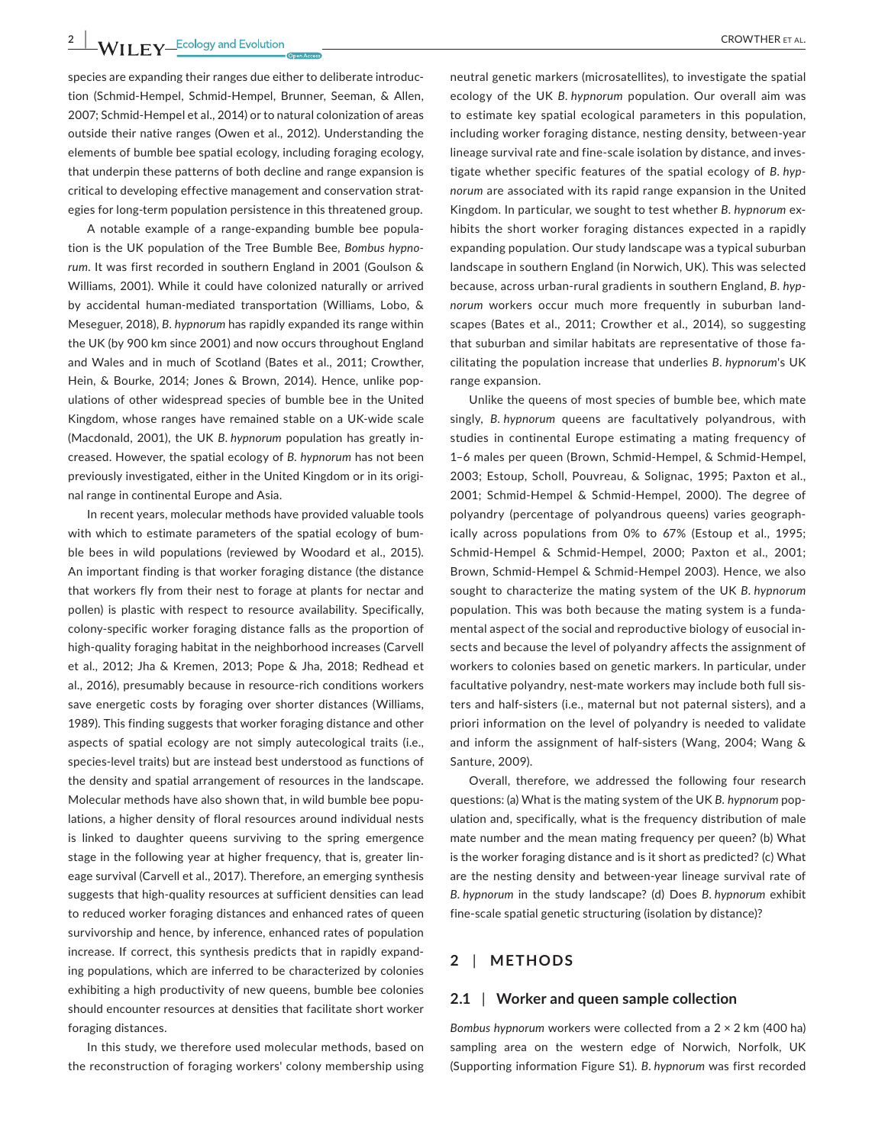species are expanding their ranges due either to deliberate introduc‐ tion (Schmid‐Hempel, Schmid‐Hempel, Brunner, Seeman, & Allen, 2007; Schmid‐Hempel et al., 2014) or to natural colonization of areas outside their native ranges (Owen et al., 2012). Understanding the elements of bumble bee spatial ecology, including foraging ecology, that underpin these patterns of both decline and range expansion is critical to developing effective management and conservation strat‐ egies for long‐term population persistence in this threatened group.

A notable example of a range‐expanding bumble bee popula‐ tion is the UK population of the Tree Bumble Bee, *Bombus hypnorum*. It was first recorded in southern England in 2001 (Goulson & Williams, 2001). While it could have colonized naturally or arrived by accidental human‐mediated transportation (Williams, Lobo, & Meseguer, 2018), *B. hypnorum* has rapidly expanded its range within the UK (by 900 km since 2001) and now occurs throughout England and Wales and in much of Scotland (Bates et al., 2011; Crowther, Hein, & Bourke, 2014; Jones & Brown, 2014). Hence, unlike pop‐ ulations of other widespread species of bumble bee in the United Kingdom, whose ranges have remained stable on a UK‐wide scale (Macdonald, 2001), the UK *B. hypnorum* population has greatly in‐ creased. However, the spatial ecology of *B. hypnorum* has not been previously investigated, either in the United Kingdom or in its original range in continental Europe and Asia.

In recent years, molecular methods have provided valuable tools with which to estimate parameters of the spatial ecology of bumble bees in wild populations (reviewed by Woodard et al., 2015). An important finding is that worker foraging distance (the distance that workers fly from their nest to forage at plants for nectar and pollen) is plastic with respect to resource availability. Specifically, colony‐specific worker foraging distance falls as the proportion of high-quality foraging habitat in the neighborhood increases (Carvell et al., 2012; Jha & Kremen, 2013; Pope & Jha, 2018; Redhead et al., 2016), presumably because in resource‐rich conditions workers save energetic costs by foraging over shorter distances (Williams, 1989). This finding suggests that worker foraging distance and other aspects of spatial ecology are not simply autecological traits (i.e., species‐level traits) but are instead best understood as functions of the density and spatial arrangement of resources in the landscape. Molecular methods have also shown that, in wild bumble bee populations, a higher density of floral resources around individual nests is linked to daughter queens surviving to the spring emergence stage in the following year at higher frequency, that is, greater lin‐ eage survival (Carvell et al., 2017). Therefore, an emerging synthesis suggests that high‐quality resources at sufficient densities can lead to reduced worker foraging distances and enhanced rates of queen survivorship and hence, by inference, enhanced rates of population increase. If correct, this synthesis predicts that in rapidly expand‐ ing populations, which are inferred to be characterized by colonies exhibiting a high productivity of new queens, bumble bee colonies should encounter resources at densities that facilitate short worker foraging distances.

In this study, we therefore used molecular methods, based on the reconstruction of foraging workers' colony membership using

neutral genetic markers (microsatellites), to investigate the spatial ecology of the UK *B. hypnorum* population. Our overall aim was to estimate key spatial ecological parameters in this population, including worker foraging distance, nesting density, between‐year lineage survival rate and fine‐scale isolation by distance, and inves‐ tigate whether specific features of the spatial ecology of *B. hypnorum* are associated with its rapid range expansion in the United Kingdom. In particular, we sought to test whether *B. hypnorum* ex‐ hibits the short worker foraging distances expected in a rapidly expanding population. Our study landscape was a typical suburban landscape in southern England (in Norwich, UK). This was selected because, across urban‐rural gradients in southern England, *B. hypnorum* workers occur much more frequently in suburban land‐ scapes (Bates et al., 2011; Crowther et al., 2014), so suggesting that suburban and similar habitats are representative of those fa‐ cilitating the population increase that underlies *B. hypnorum*'s UK range expansion.

Unlike the queens of most species of bumble bee, which mate singly, *B. hypnorum* queens are facultatively polyandrous, with studies in continental Europe estimating a mating frequency of 1–6 males per queen (Brown, Schmid‐Hempel, & Schmid‐Hempel, 2003; Estoup, Scholl, Pouvreau, & Solignac, 1995; Paxton et al., 2001; Schmid‐Hempel & Schmid‐Hempel, 2000). The degree of polyandry (percentage of polyandrous queens) varies geograph‐ ically across populations from 0% to 67% (Estoup et al., 1995; Schmid‐Hempel & Schmid‐Hempel, 2000; Paxton et al., 2001; Brown, Schmid‐Hempel & Schmid‐Hempel 2003). Hence, we also sought to characterize the mating system of the UK *B. hypnorum* population. This was both because the mating system is a funda‐ mental aspect of the social and reproductive biology of eusocial in‐ sects and because the level of polyandry affects the assignment of workers to colonies based on genetic markers. In particular, under facultative polyandry, nest-mate workers may include both full sisters and half‐sisters (i.e., maternal but not paternal sisters), and a priori information on the level of polyandry is needed to validate and inform the assignment of half‐sisters (Wang, 2004; Wang & Santure, 2009).

Overall, therefore, we addressed the following four research questions: (a) What is the mating system of the UK *B. hypnorum* pop‐ ulation and, specifically, what is the frequency distribution of male mate number and the mean mating frequency per queen? (b) What is the worker foraging distance and is it short as predicted? (c) What are the nesting density and between‐year lineage survival rate of *B. hypnorum* in the study landscape? (d) Does *B. hypnorum* exhibit fine-scale spatial genetic structuring (isolation by distance)?

# **2** | **METHODS**

# **2.1** | **Worker and queen sample collection**

*Bombus hypnorum* workers were collected from a 2 × 2 km (400 ha) sampling area on the western edge of Norwich, Norfolk, UK (Supporting information Figure S1). *B. hypnorum* was first recorded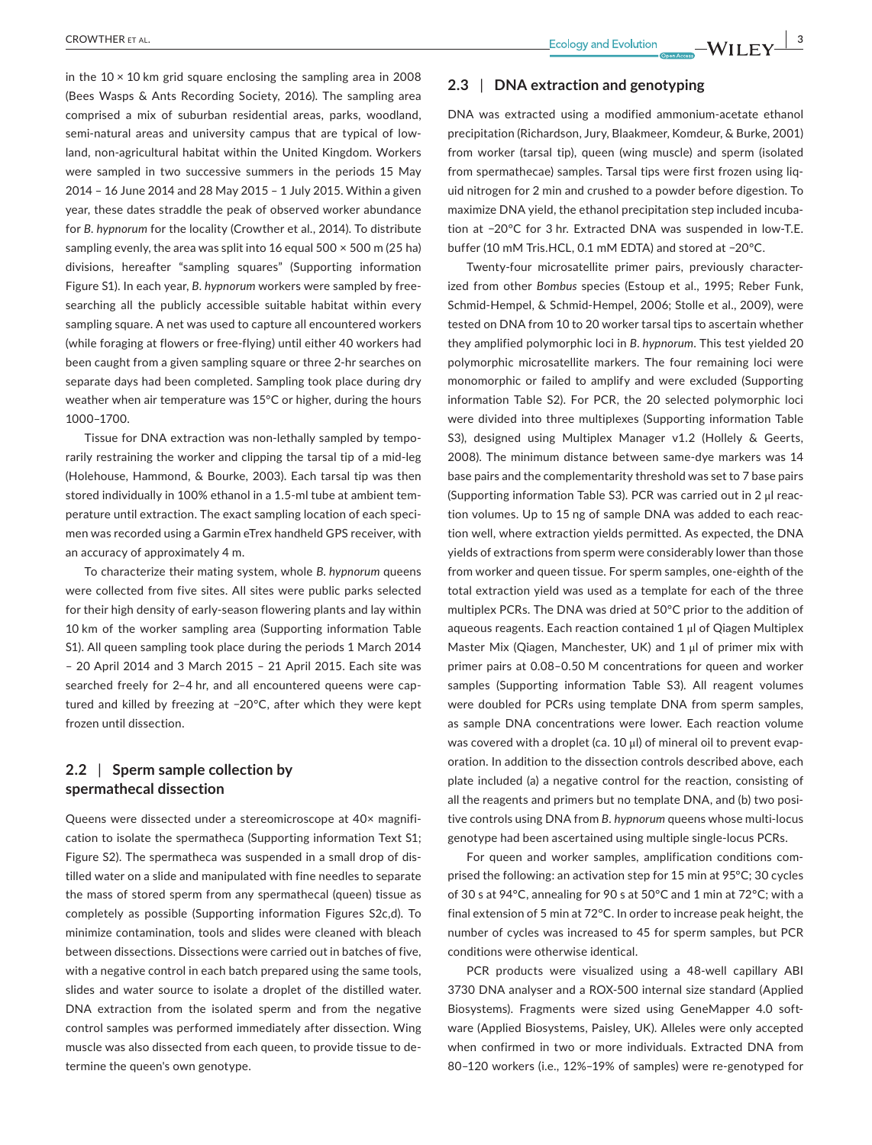in the  $10 \times 10$  km grid square enclosing the sampling area in 2008 (Bees Wasps & Ants Recording Society, 2016). The sampling area comprised a mix of suburban residential areas, parks, woodland, semi-natural areas and university campus that are typical of lowland, non‐agricultural habitat within the United Kingdom. Workers were sampled in two successive summers in the periods 15 May 2014 – 16 June 2014 and 28 May 2015 – 1 July 2015. Within a given year, these dates straddle the peak of observed worker abundance for *B. hypnorum* for the locality (Crowther et al., 2014). To distribute sampling evenly, the area was split into 16 equal 500 × 500 m (25 ha) divisions, hereafter "sampling squares" (Supporting information Figure S1). In each year, *B. hypnorum* workers were sampled by free‐ searching all the publicly accessible suitable habitat within every sampling square. A net was used to capture all encountered workers (while foraging at flowers or free‐flying) until either 40 workers had been caught from a given sampling square or three 2‐hr searches on separate days had been completed. Sampling took place during dry weather when air temperature was 15°C or higher, during the hours 1000–1700.

Tissue for DNA extraction was non‐lethally sampled by tempo‐ rarily restraining the worker and clipping the tarsal tip of a mid‐leg (Holehouse, Hammond, & Bourke, 2003). Each tarsal tip was then stored individually in 100% ethanol in a 1.5‐ml tube at ambient tem‐ perature until extraction. The exact sampling location of each specimen was recorded using a Garmin eTrex handheld GPS receiver, with an accuracy of approximately 4 m.

To characterize their mating system, whole *B. hypnorum* queens were collected from five sites. All sites were public parks selected for their high density of early‐season flowering plants and lay within 10 km of the worker sampling area (Supporting information Table S1). All queen sampling took place during the periods 1 March 2014 – 20 April 2014 and 3 March 2015 – 21 April 2015. Each site was searched freely for 2-4 hr, and all encountered queens were captured and killed by freezing at −20°C, after which they were kept frozen until dissection.

# **2.2** | **Sperm sample collection by spermathecal dissection**

Queens were dissected under a stereomicroscope at 40× magnifi‐ cation to isolate the spermatheca (Supporting information Text S1; Figure S2). The spermatheca was suspended in a small drop of dis‐ tilled water on a slide and manipulated with fine needles to separate the mass of stored sperm from any spermathecal (queen) tissue as completely as possible (Supporting information Figures S2c,d). To minimize contamination, tools and slides were cleaned with bleach between dissections. Dissections were carried out in batches of five, with a negative control in each batch prepared using the same tools, slides and water source to isolate a droplet of the distilled water. DNA extraction from the isolated sperm and from the negative control samples was performed immediately after dissection. Wing muscle was also dissected from each queen, to provide tissue to de‐ termine the queen's own genotype.

# **2.3** | **DNA extraction and genotyping**

DNA was extracted using a modified ammonium‐acetate ethanol precipitation (Richardson, Jury, Blaakmeer, Komdeur, & Burke, 2001) from worker (tarsal tip), queen (wing muscle) and sperm (isolated from spermathecae) samples. Tarsal tips were first frozen using liq‐ uid nitrogen for 2 min and crushed to a powder before digestion. To maximize DNA yield, the ethanol precipitation step included incuba‐ tion at −20°C for 3 hr. Extracted DNA was suspended in low‐T.E. buffer (10 mM Tris.HCL, 0.1 mM EDTA) and stored at −20°C.

Twenty‐four microsatellite primer pairs, previously character‐ ized from other *Bombus* species (Estoup et al., 1995; Reber Funk, Schmid‐Hempel, & Schmid‐Hempel, 2006; Stolle et al., 2009), were tested on DNA from 10 to 20 worker tarsal tips to ascertain whether they amplified polymorphic loci in *B. hypnorum*. This test yielded 20 polymorphic microsatellite markers. The four remaining loci were monomorphic or failed to amplify and were excluded (Supporting information Table S2). For PCR, the 20 selected polymorphic loci were divided into three multiplexes (Supporting information Table S3), designed using Multiplex Manager v1.2 (Hollely & Geerts, 2008). The minimum distance between same‐dye markers was 14 base pairs and the complementarity threshold was set to 7 base pairs (Supporting information Table S3). PCR was carried out in 2 μl reac‐ tion volumes. Up to 15 ng of sample DNA was added to each reac‐ tion well, where extraction yields permitted. As expected, the DNA yields of extractions from sperm were considerably lower than those from worker and queen tissue. For sperm samples, one‐eighth of the total extraction yield was used as a template for each of the three multiplex PCRs. The DNA was dried at 50°C prior to the addition of aqueous reagents. Each reaction contained 1 μl of Qiagen Multiplex Master Mix (Qiagen, Manchester, UK) and 1 μl of primer mix with primer pairs at 0.08–0.50 M concentrations for queen and worker samples (Supporting information Table S3). All reagent volumes were doubled for PCRs using template DNA from sperm samples, as sample DNA concentrations were lower. Each reaction volume was covered with a droplet (ca. 10 μl) of mineral oil to prevent evaporation. In addition to the dissection controls described above, each plate included (a) a negative control for the reaction, consisting of all the reagents and primers but no template DNA, and (b) two posi‐ tive controls using DNA from *B. hypnorum* queens whose multi‐locus genotype had been ascertained using multiple single‐locus PCRs.

For queen and worker samples, amplification conditions com‐ prised the following: an activation step for 15 min at 95°C; 30 cycles of 30 s at 94°C, annealing for 90 s at 50°C and 1 min at 72°C; with a final extension of 5 min at 72°C. In order to increase peak height, the number of cycles was increased to 45 for sperm samples, but PCR conditions were otherwise identical.

PCR products were visualized using a 48‐well capillary ABI 3730 DNA analyser and a ROX‐500 internal size standard (Applied Biosystems). Fragments were sized using GeneMapper 4.0 soft‐ ware (Applied Biosystems, Paisley, UK). Alleles were only accepted when confirmed in two or more individuals. Extracted DNA from 80–120 workers (i.e., 12%–19% of samples) were re‐genotyped for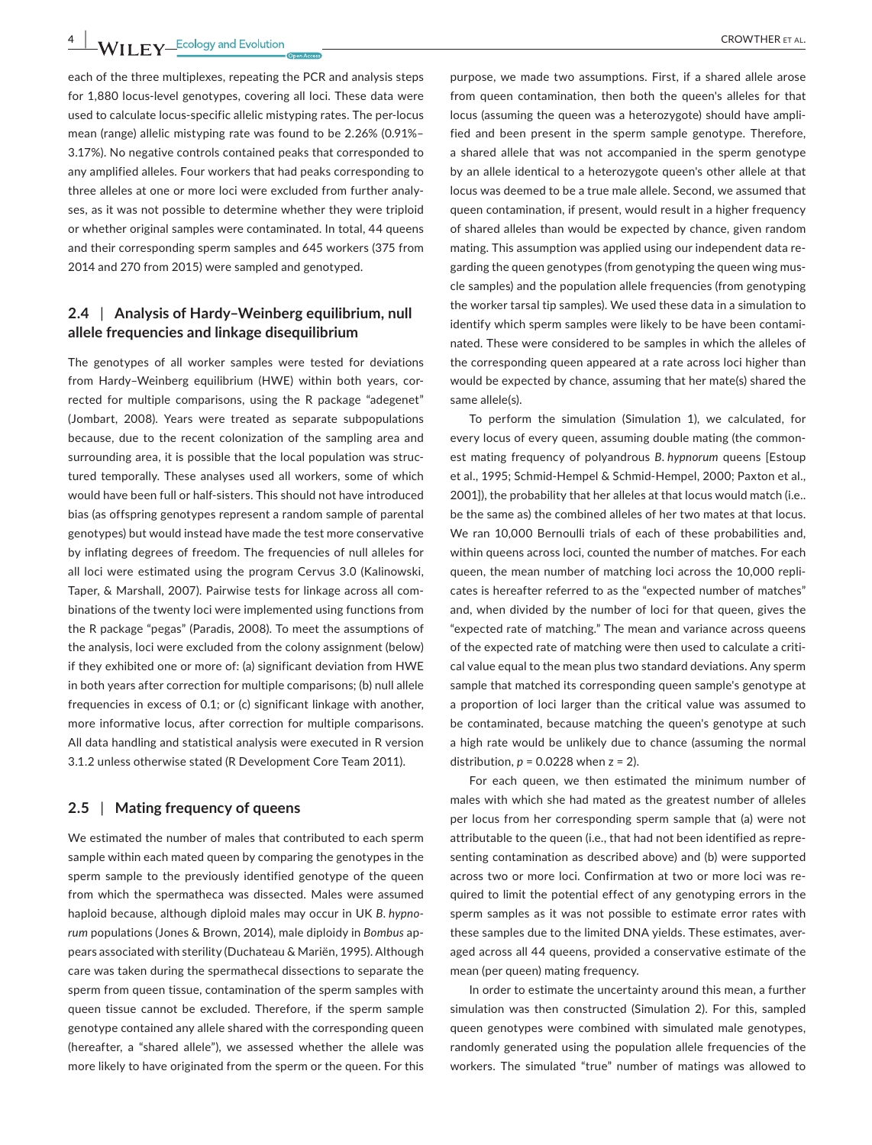each of the three multiplexes, repeating the PCR and analysis steps for 1,880 locus-level genotypes, covering all loci. These data were used to calculate locus‐specific allelic mistyping rates. The per‐locus mean (range) allelic mistyping rate was found to be 2.26% (0.91%– 3.17%). No negative controls contained peaks that corresponded to any amplified alleles. Four workers that had peaks corresponding to three alleles at one or more loci were excluded from further analy‐ ses, as it was not possible to determine whether they were triploid or whether original samples were contaminated. In total, 44 queens and their corresponding sperm samples and 645 workers (375 from 2014 and 270 from 2015) were sampled and genotyped.

# **2.4** | **Analysis of Hardy–Weinberg equilibrium, null allele frequencies and linkage disequilibrium**

The genotypes of all worker samples were tested for deviations from Hardy–Weinberg equilibrium (HWE) within both years, cor‐ rected for multiple comparisons, using the R package "adegenet" (Jombart, 2008). Years were treated as separate subpopulations because, due to the recent colonization of the sampling area and surrounding area, it is possible that the local population was structured temporally. These analyses used all workers, some of which would have been full or half‐sisters. This should not have introduced bias (as offspring genotypes represent a random sample of parental genotypes) but would instead have made the test more conservative by inflating degrees of freedom. The frequencies of null alleles for all loci were estimated using the program Cervus 3.0 (Kalinowski, Taper, & Marshall, 2007). Pairwise tests for linkage across all com‐ binations of the twenty loci were implemented using functions from the R package "pegas" (Paradis, 2008). To meet the assumptions of the analysis, loci were excluded from the colony assignment (below) if they exhibited one or more of: (a) significant deviation from HWE in both years after correction for multiple comparisons; (b) null allele frequencies in excess of 0.1; or (c) significant linkage with another, more informative locus, after correction for multiple comparisons. All data handling and statistical analysis were executed in R version 3.1.2 unless otherwise stated (R Development Core Team 2011).

### **2.5** | **Mating frequency of queens**

We estimated the number of males that contributed to each sperm sample within each mated queen by comparing the genotypes in the sperm sample to the previously identified genotype of the queen from which the spermatheca was dissected. Males were assumed haploid because, although diploid males may occur in UK *B. hypnorum* populations (Jones & Brown, 2014), male diploidy in *Bombus* ap‐ pears associated with sterility (Duchateau & Mariën, 1995). Although care was taken during the spermathecal dissections to separate the sperm from queen tissue, contamination of the sperm samples with queen tissue cannot be excluded. Therefore, if the sperm sample genotype contained any allele shared with the corresponding queen (hereafter, a "shared allele"), we assessed whether the allele was more likely to have originated from the sperm or the queen. For this

purpose, we made two assumptions. First, if a shared allele arose from queen contamination, then both the queen's alleles for that locus (assuming the queen was a heterozygote) should have ampli‐ fied and been present in the sperm sample genotype. Therefore, a shared allele that was not accompanied in the sperm genotype by an allele identical to a heterozygote queen's other allele at that locus was deemed to be a true male allele. Second, we assumed that queen contamination, if present, would result in a higher frequency of shared alleles than would be expected by chance, given random mating. This assumption was applied using our independent data re‐ garding the queen genotypes (from genotyping the queen wing mus‐ cle samples) and the population allele frequencies (from genotyping the worker tarsal tip samples). We used these data in a simulation to identify which sperm samples were likely to be have been contaminated. These were considered to be samples in which the alleles of the corresponding queen appeared at a rate across loci higher than would be expected by chance, assuming that her mate(s) shared the same allele(s).

To perform the simulation (Simulation 1), we calculated, for every locus of every queen, assuming double mating (the common‐ est mating frequency of polyandrous *B. hypnorum* queens [Estoup et al., 1995; Schmid‐Hempel & Schmid‐Hempel, 2000; Paxton et al., 2001]), the probability that her alleles at that locus would match (i.e.. be the same as) the combined alleles of her two mates at that locus. We ran 10,000 Bernoulli trials of each of these probabilities and, within queens across loci, counted the number of matches. For each queen, the mean number of matching loci across the 10,000 repli‐ cates is hereafter referred to as the "expected number of matches" and, when divided by the number of loci for that queen, gives the "expected rate of matching." The mean and variance across queens of the expected rate of matching were then used to calculate a criti‐ cal value equal to the mean plus two standard deviations. Any sperm sample that matched its corresponding queen sample's genotype at a proportion of loci larger than the critical value was assumed to be contaminated, because matching the queen's genotype at such a high rate would be unlikely due to chance (assuming the normal distribution,  $p = 0.0228$  when  $z = 2$ ).

For each queen, we then estimated the minimum number of males with which she had mated as the greatest number of alleles per locus from her corresponding sperm sample that (a) were not attributable to the queen (i.e., that had not been identified as repre‐ senting contamination as described above) and (b) were supported across two or more loci. Confirmation at two or more loci was re‐ quired to limit the potential effect of any genotyping errors in the sperm samples as it was not possible to estimate error rates with these samples due to the limited DNA yields. These estimates, aver‐ aged across all 44 queens, provided a conservative estimate of the mean (per queen) mating frequency.

In order to estimate the uncertainty around this mean, a further simulation was then constructed (Simulation 2). For this, sampled queen genotypes were combined with simulated male genotypes, randomly generated using the population allele frequencies of the workers. The simulated "true" number of matings was allowed to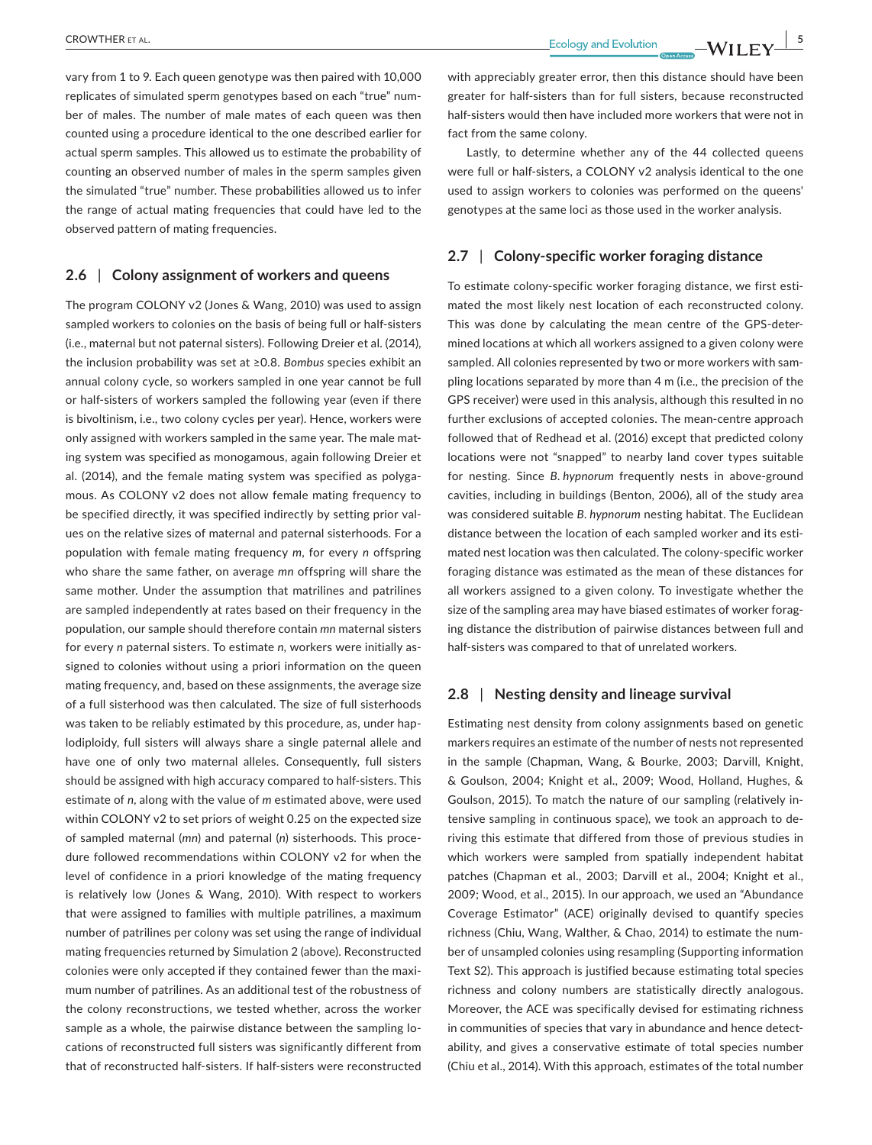vary from 1 to 9. Each queen genotype was then paired with 10,000 replicates of simulated sperm genotypes based on each "true" num‐ ber of males. The number of male mates of each queen was then counted using a procedure identical to the one described earlier for actual sperm samples. This allowed us to estimate the probability of counting an observed number of males in the sperm samples given the simulated "true" number. These probabilities allowed us to infer the range of actual mating frequencies that could have led to the observed pattern of mating frequencies.

### **2.6** | **Colony assignment of workers and queens**

The program COLONY v2 (Jones & Wang, 2010) was used to assign sampled workers to colonies on the basis of being full or half-sisters (i.e., maternal but not paternal sisters). Following Dreier et al. (2014), the inclusion probability was set at ≥0.8. *Bombus* species exhibit an annual colony cycle, so workers sampled in one year cannot be full or half‐sisters of workers sampled the following year (even if there is bivoltinism, i.e., two colony cycles per year). Hence, workers were only assigned with workers sampled in the same year. The male mat‐ ing system was specified as monogamous, again following Dreier et al. (2014), and the female mating system was specified as polygamous. As COLONY v2 does not allow female mating frequency to be specified directly, it was specified indirectly by setting prior val‐ ues on the relative sizes of maternal and paternal sisterhoods. For a population with female mating frequency *m*, for every *n* offspring who share the same father, on average *mn* offspring will share the same mother. Under the assumption that matrilines and patrilines are sampled independently at rates based on their frequency in the population, our sample should therefore contain *mn* maternal sisters for every *n* paternal sisters. To estimate *n*, workers were initially as‐ signed to colonies without using a priori information on the queen mating frequency, and, based on these assignments, the average size of a full sisterhood was then calculated. The size of full sisterhoods was taken to be reliably estimated by this procedure, as, under haplodiploidy, full sisters will always share a single paternal allele and have one of only two maternal alleles. Consequently, full sisters should be assigned with high accuracy compared to half‐sisters. This estimate of *n*, along with the value of *m* estimated above, were used within COLONY v2 to set priors of weight 0.25 on the expected size of sampled maternal (*mn*) and paternal (*n*) sisterhoods. This proce‐ dure followed recommendations within COLONY v2 for when the level of confidence in a priori knowledge of the mating frequency is relatively low (Jones & Wang, 2010). With respect to workers that were assigned to families with multiple patrilines, a maximum number of patrilines per colony was set using the range of individual mating frequencies returned by Simulation 2 (above). Reconstructed colonies were only accepted if they contained fewer than the maximum number of patrilines. As an additional test of the robustness of the colony reconstructions, we tested whether, across the worker sample as a whole, the pairwise distance between the sampling locations of reconstructed full sisters was significantly different from that of reconstructed half‐sisters. If half‐sisters were reconstructed

with appreciably greater error, then this distance should have been greater for half‐sisters than for full sisters, because reconstructed half-sisters would then have included more workers that were not in fact from the same colony.

Lastly, to determine whether any of the 44 collected queens were full or half-sisters, a COLONY v2 analysis identical to the one used to assign workers to colonies was performed on the queens' genotypes at the same loci as those used in the worker analysis.

# **2.7** | **Colony‐specific worker foraging distance**

To estimate colony‐specific worker foraging distance, we first esti‐ mated the most likely nest location of each reconstructed colony. This was done by calculating the mean centre of the GPS‐deter‐ mined locations at which all workers assigned to a given colony were sampled. All colonies represented by two or more workers with sampling locations separated by more than 4 m (i.e., the precision of the GPS receiver) were used in this analysis, although this resulted in no further exclusions of accepted colonies. The mean‐centre approach followed that of Redhead et al. (2016) except that predicted colony locations were not "snapped" to nearby land cover types suitable for nesting. Since *B. hypnorum* frequently nests in above‐ground cavities, including in buildings (Benton, 2006), all of the study area was considered suitable *B. hypnorum* nesting habitat. The Euclidean distance between the location of each sampled worker and its esti‐ mated nest location was then calculated. The colony‐specific worker foraging distance was estimated as the mean of these distances for all workers assigned to a given colony. To investigate whether the size of the sampling area may have biased estimates of worker foraging distance the distribution of pairwise distances between full and half-sisters was compared to that of unrelated workers.

### **2.8** | **Nesting density and lineage survival**

Estimating nest density from colony assignments based on genetic markers requires an estimate of the number of nests not represented in the sample (Chapman, Wang, & Bourke, 2003; Darvill, Knight, & Goulson, 2004; Knight et al., 2009; Wood, Holland, Hughes, & Goulson, 2015). To match the nature of our sampling (relatively in‐ tensive sampling in continuous space), we took an approach to de‐ riving this estimate that differed from those of previous studies in which workers were sampled from spatially independent habitat patches (Chapman et al., 2003; Darvill et al., 2004; Knight et al., 2009; Wood, et al., 2015). In our approach, we used an "Abundance Coverage Estimator" (ACE) originally devised to quantify species richness (Chiu, Wang, Walther, & Chao, 2014) to estimate the num‐ ber of unsampled colonies using resampling (Supporting information Text S2). This approach is justified because estimating total species richness and colony numbers are statistically directly analogous. Moreover, the ACE was specifically devised for estimating richness in communities of species that vary in abundance and hence detectability, and gives a conservative estimate of total species number (Chiu et al., 2014). With this approach, estimates of the total number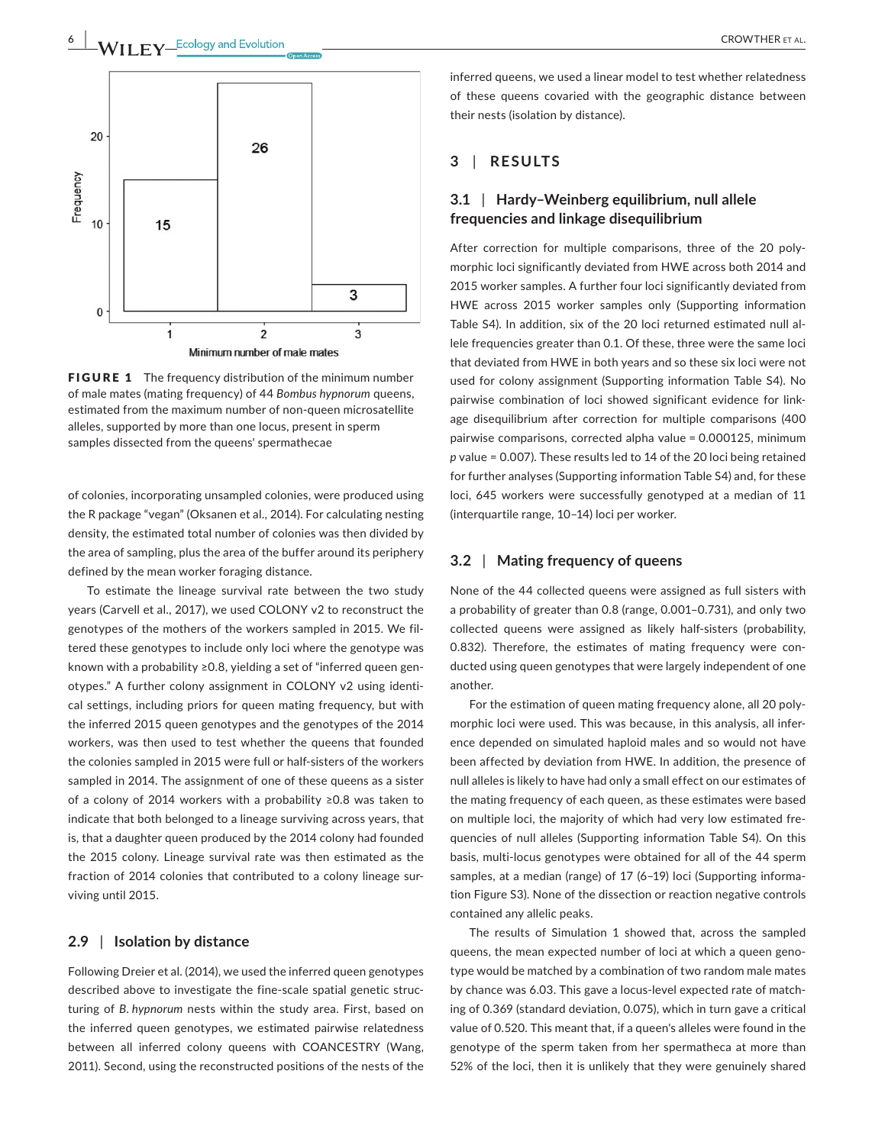

**FIGURE 1** The frequency distribution of the minimum number of male mates (mating frequency) of 44 *Bombus hypnorum* queens, estimated from the maximum number of non‐queen microsatellite alleles, supported by more than one locus, present in sperm samples dissected from the queens' spermathecae

of colonies, incorporating unsampled colonies, were produced using the R package "vegan" (Oksanen et al., 2014). For calculating nesting density, the estimated total number of colonies was then divided by the area of sampling, plus the area of the buffer around its periphery defined by the mean worker foraging distance.

To estimate the lineage survival rate between the two study years (Carvell et al., 2017), we used COLONY v2 to reconstruct the genotypes of the mothers of the workers sampled in 2015. We fil‐ tered these genotypes to include only loci where the genotype was known with a probability ≥0.8, yielding a set of "inferred queen gen‐ otypes." A further colony assignment in COLONY v2 using identi‐ cal settings, including priors for queen mating frequency, but with the inferred 2015 queen genotypes and the genotypes of the 2014 workers, was then used to test whether the queens that founded the colonies sampled in 2015 were full or half‐sisters of the workers sampled in 2014. The assignment of one of these queens as a sister of a colony of 2014 workers with a probability ≥0.8 was taken to indicate that both belonged to a lineage surviving across years, that is, that a daughter queen produced by the 2014 colony had founded the 2015 colony. Lineage survival rate was then estimated as the fraction of 2014 colonies that contributed to a colony lineage surviving until 2015.

# **2.9** | **Isolation by distance**

Following Dreier et al. (2014), we used the inferred queen genotypes described above to investigate the fine‐scale spatial genetic struc‐ turing of *B. hypnorum* nests within the study area. First, based on the inferred queen genotypes, we estimated pairwise relatedness between all inferred colony queens with COANCESTRY (Wang, 2011). Second, using the reconstructed positions of the nests of the inferred queens, we used a linear model to test whether relatedness of these queens covaried with the geographic distance between their nests (isolation by distance).

# **3** | **RESULTS**

# **3.1** | **Hardy–Weinberg equilibrium, null allele frequencies and linkage disequilibrium**

After correction for multiple comparisons, three of the 20 poly‐ morphic loci significantly deviated from HWE across both 2014 and 2015 worker samples. A further four loci significantly deviated from HWE across 2015 worker samples only (Supporting information Table S4). In addition, six of the 20 loci returned estimated null al‐ lele frequencies greater than 0.1. Of these, three were the same loci that deviated from HWE in both years and so these six loci were not used for colony assignment (Supporting information Table S4). No pairwise combination of loci showed significant evidence for link‐ age disequilibrium after correction for multiple comparisons (400 pairwise comparisons, corrected alpha value = 0.000125, minimum *p* value = 0.007). These results led to 14 of the 20 loci being retained for further analyses (Supporting information Table S4) and, for these loci, 645 workers were successfully genotyped at a median of 11 (interquartile range, 10–14) loci per worker.

# **3.2** | **Mating frequency of queens**

None of the 44 collected queens were assigned as full sisters with a probability of greater than 0.8 (range, 0.001–0.731), and only two collected queens were assigned as likely half‐sisters (probability, 0.832). Therefore, the estimates of mating frequency were con‐ ducted using queen genotypes that were largely independent of one another.

For the estimation of queen mating frequency alone, all 20 poly‐ morphic loci were used. This was because, in this analysis, all infer‐ ence depended on simulated haploid males and so would not have been affected by deviation from HWE. In addition, the presence of null alleles is likely to have had only a small effect on our estimates of the mating frequency of each queen, as these estimates were based on multiple loci, the majority of which had very low estimated fre‐ quencies of null alleles (Supporting information Table S4). On this basis, multi‐locus genotypes were obtained for all of the 44 sperm samples, at a median (range) of 17 (6-19) loci (Supporting information Figure S3). None of the dissection or reaction negative controls contained any allelic peaks.

The results of Simulation 1 showed that, across the sampled queens, the mean expected number of loci at which a queen geno‐ type would be matched by a combination of two random male mates by chance was 6.03. This gave a locus‐level expected rate of match‐ ing of 0.369 (standard deviation, 0.075), which in turn gave a critical value of 0.520. This meant that, if a queen's alleles were found in the genotype of the sperm taken from her spermatheca at more than 52% of the loci, then it is unlikely that they were genuinely shared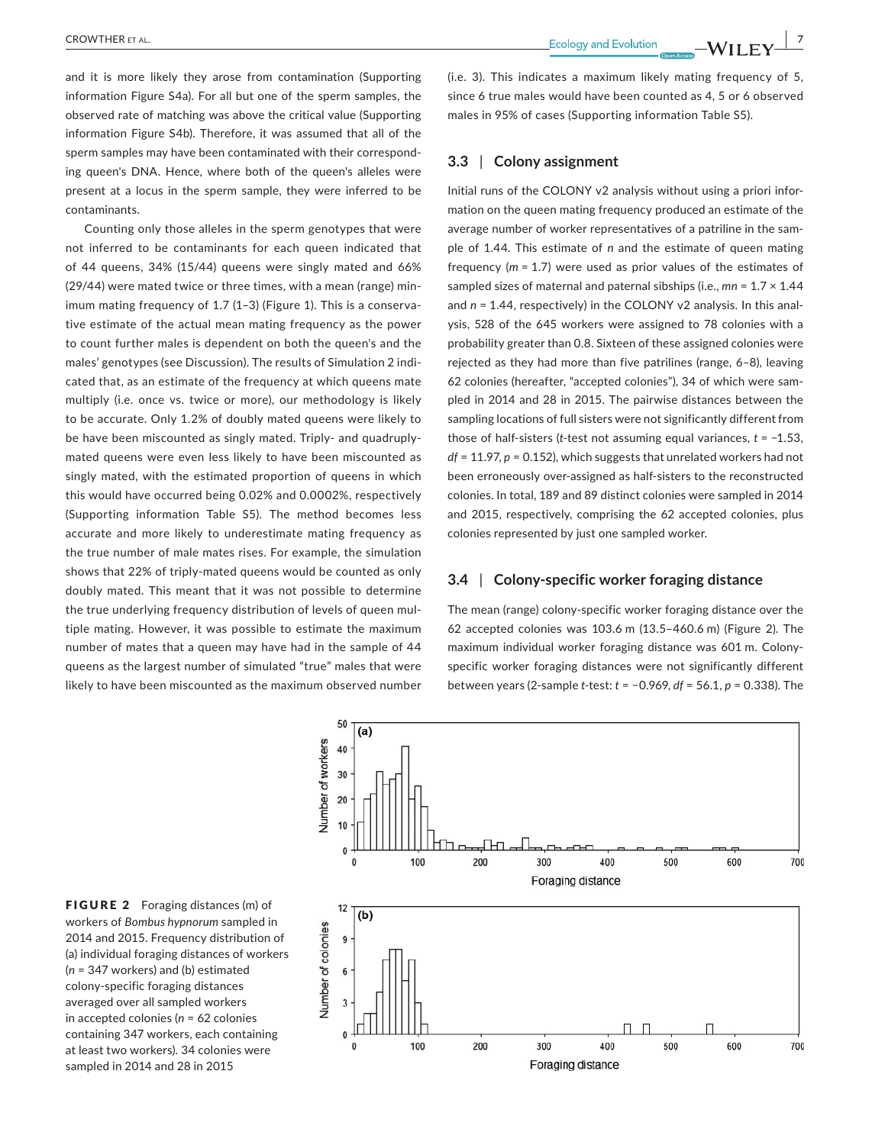**CROWTHER** ET AL. *CROWTHER ET AL. PHONE CROWTHER ET AL.* **<b>***PHONE CODE CODE CODE CODE CODE CODE CODE CODE CODE CODE CODE CODE CODE CODE CODE CODE*

and it is more likely they arose from contamination (Supporting information Figure S4a). For all but one of the sperm samples, the observed rate of matching was above the critical value (Supporting information Figure S4b). Therefore, it was assumed that all of the sperm samples may have been contaminated with their corresponding queen's DNA. Hence, where both of the queen's alleles were present at a locus in the sperm sample, they were inferred to be contaminants.

Counting only those alleles in the sperm genotypes that were not inferred to be contaminants for each queen indicated that of 44 queens, 34% (15/44) queens were singly mated and 66% (29/44) were mated twice or three times, with a mean (range) min‐ imum mating frequency of 1.7 (1–3) (Figure 1). This is a conserva‐ tive estimate of the actual mean mating frequency as the power to count further males is dependent on both the queen's and the males' genotypes (see Discussion). The results of Simulation 2 indi‐ cated that, as an estimate of the frequency at which queens mate multiply (i.e. once vs. twice or more), our methodology is likely to be accurate. Only 1.2% of doubly mated queens were likely to be have been miscounted as singly mated. Triply- and quadruplymated queens were even less likely to have been miscounted as singly mated, with the estimated proportion of queens in which this would have occurred being 0.02% and 0.0002%, respectively (Supporting information Table S5). The method becomes less accurate and more likely to underestimate mating frequency as the true number of male mates rises. For example, the simulation shows that 22% of triply‐mated queens would be counted as only doubly mated. This meant that it was not possible to determine the true underlying frequency distribution of levels of queen mul‐ tiple mating. However, it was possible to estimate the maximum number of mates that a queen may have had in the sample of 44 queens as the largest number of simulated "true" males that were likely to have been miscounted as the maximum observed number

(i.e. 3). This indicates a maximum likely mating frequency of 5, since 6 true males would have been counted as 4, 5 or 6 observed males in 95% of cases (Supporting information Table S5).

# **3.3** | **Colony assignment**

Initial runs of the COLONY v2 analysis without using a priori infor‐ mation on the queen mating frequency produced an estimate of the average number of worker representatives of a patriline in the sam‐ ple of 1.44. This estimate of *n* and the estimate of queen mating frequency (*m* = 1.7) were used as prior values of the estimates of sampled sizes of maternal and paternal sibships (i.e., *mn* = 1.7 × 1.44 and *n* = 1.44, respectively) in the COLONY v2 analysis. In this anal‐ ysis, 528 of the 645 workers were assigned to 78 colonies with a probability greater than 0.8. Sixteen of these assigned colonies were rejected as they had more than five patrilines (range, 6–8), leaving 62 colonies (hereafter, "accepted colonies"), 34 of which were sam‐ pled in 2014 and 28 in 2015. The pairwise distances between the sampling locations of full sisters were not significantly different from those of half‐sisters (*t*‐test not assuming equal variances, *t* = −1.53, *df* = 11.97, *p* = 0.152), which suggests that unrelated workers had not been erroneously over‐assigned as half‐sisters to the reconstructed colonies. In total, 189 and 89 distinct colonies were sampled in 2014 and 2015, respectively, comprising the 62 accepted colonies, plus colonies represented by just one sampled worker.

# **3.4** | **Colony‐specific worker foraging distance**

The mean (range) colony‐specific worker foraging distance over the 62 accepted colonies was 103.6 m (13.5–460.6 m) (Figure 2). The maximum individual worker foraging distance was 601 m. Colony‐ specific worker foraging distances were not significantly different between years (2‐sample *t*‐test: *t* = −0.969, *df* = 56.1, *p* = 0.338). The



FIGURE 2 Foraging distances (m) of workers of *Bombus hypnorum* sampled in 2014 and 2015. Frequency distribution of (a) individual foraging distances of workers (*n* = 347 workers) and (b) estimated colony‐specific foraging distances averaged over all sampled workers in accepted colonies (*n* = 62 colonies containing 347 workers, each containing at least two workers). 34 colonies were sampled in 2014 and 28 in 2015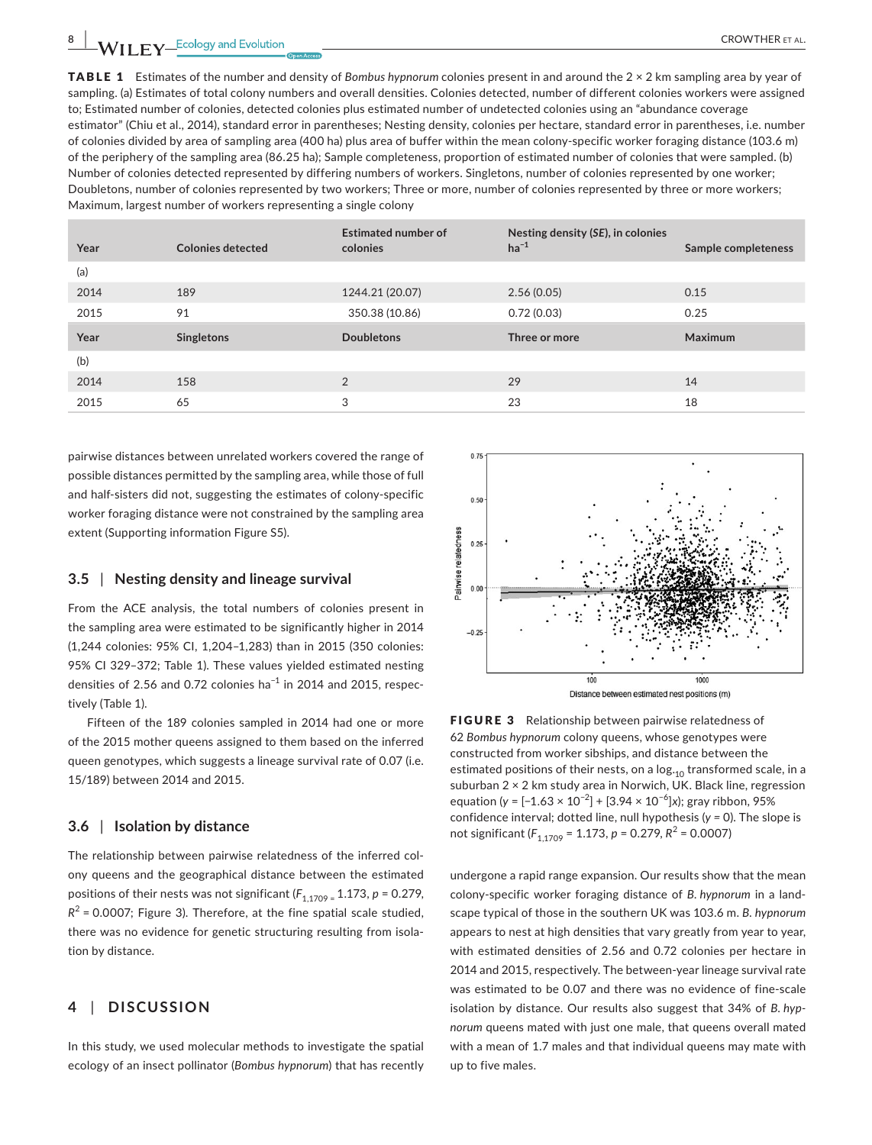TABLE 1 Estimates of the number and density of *Bombus hypnorum* colonies present in and around the 2 × 2 km sampling area by year of sampling. (a) Estimates of total colony numbers and overall densities. Colonies detected, number of different colonies workers were assigned to; Estimated number of colonies, detected colonies plus estimated number of undetected colonies using an "abundance coverage estimator" (Chiu et al., 2014), standard error in parentheses; Nesting density, colonies per hectare, standard error in parentheses, i.e. number of colonies divided by area of sampling area (400 ha) plus area of buffer within the mean colony‐specific worker foraging distance (103.6 m) of the periphery of the sampling area (86.25 ha); Sample completeness, proportion of estimated number of colonies that were sampled. (b) Number of colonies detected represented by differing numbers of workers. Singletons, number of colonies represented by one worker; Doubletons, number of colonies represented by two workers; Three or more, number of colonies represented by three or more workers; Maximum, largest number of workers representing a single colony

| Year | <b>Colonies detected</b> | <b>Estimated number of</b><br>colonies | Nesting density (SE), in colonies<br>$ha^{-1}$ | Sample completeness |
|------|--------------------------|----------------------------------------|------------------------------------------------|---------------------|
| (a)  |                          |                                        |                                                |                     |
| 2014 | 189                      | 1244.21 (20.07)                        | 2.56(0.05)                                     | 0.15                |
| 2015 | 91                       | 350.38 (10.86)                         | 0.72(0.03)                                     | 0.25                |
|      |                          |                                        |                                                |                     |
| Year | Singletons               | <b>Doubletons</b>                      | Three or more                                  | <b>Maximum</b>      |
| (b)  |                          |                                        |                                                |                     |
| 2014 | 158                      | $\overline{2}$                         | 29                                             | 14                  |

pairwise distances between unrelated workers covered the range of possible distances permitted by the sampling area, while those of full and half‐sisters did not, suggesting the estimates of colony‐specific worker foraging distance were not constrained by the sampling area extent (Supporting information Figure S5).

### **3.5** | **Nesting density and lineage survival**

From the ACE analysis, the total numbers of colonies present in the sampling area were estimated to be significantly higher in 2014 (1,244 colonies: 95% CI, 1,204–1,283) than in 2015 (350 colonies: 95% CI 329–372; Table 1). These values yielded estimated nesting densities of 2.56 and 0.72 colonies ha<sup>-1</sup> in 2014 and 2015, respectively (Table 1).

Fifteen of the 189 colonies sampled in 2014 had one or more of the 2015 mother queens assigned to them based on the inferred queen genotypes, which suggests a lineage survival rate of 0.07 (i.e. 15/189) between 2014 and 2015.

### **3.6** | **Isolation by distance**

The relationship between pairwise relatedness of the inferred col‐ ony queens and the geographical distance between the estimated positions of their nests was not significant ( $F_{1,1709}$  = 1.173, p = 0.279,  $R^2$  = 0.0007; Figure 3). Therefore, at the fine spatial scale studied, there was no evidence for genetic structuring resulting from isola‐ tion by distance.

# **4** | **DISCUSSION**

In this study, we used molecular methods to investigate the spatial ecology of an insect pollinator (*Bombus hypnorum*) that has recently



FIGURE 3 Relationship between pairwise relatedness of 62 *Bombus hypnorum* colony queens, whose genotypes were constructed from worker sibships, and distance between the estimated positions of their nests, on a  $log_{10}$  transformed scale, in a suburban 2 × 2 km study area in Norwich, UK. Black line, regression equation (*y* = [−1.63 × 10−2] + [3.94 × 10−6]*x*); gray ribbon, 95% confidence interval; dotted line, null hypothesis (*y =* 0). The slope is not significant (*F*1,1709 <sup>=</sup> 1.173, *<sup>p</sup>* <sup>=</sup> 0.279, *R*<sup>2</sup> <sup>=</sup> 0.0007)

undergone a rapid range expansion. Our results show that the mean colony‐specific worker foraging distance of *B. hypnorum* in a land‐ scape typical of those in the southern UK was 103.6 m. *B. hypnorum*  appears to nest at high densities that vary greatly from year to year, with estimated densities of 2.56 and 0.72 colonies per hectare in 2014 and 2015, respectively. The between‐year lineage survival rate was estimated to be 0.07 and there was no evidence of fine‐scale isolation by distance. Our results also suggest that 34% of *B. hypnorum* queens mated with just one male, that queens overall mated with a mean of 1.7 males and that individual queens may mate with up to five males.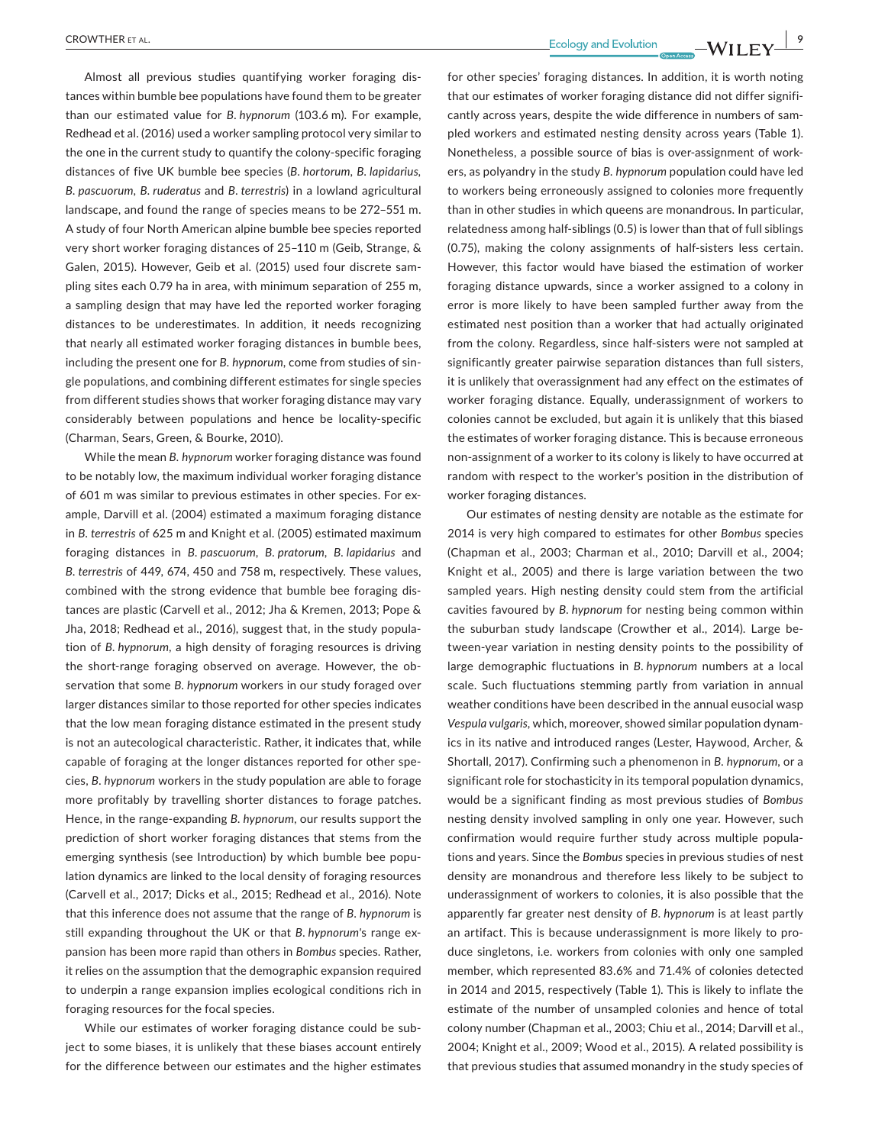Almost all previous studies quantifying worker foraging dis‐ tances within bumble bee populations have found them to be greater than our estimated value for *B. hypnorum* (103.6 m). For example, Redhead et al. (2016) used a worker sampling protocol very similar to the one in the current study to quantify the colony‐specific foraging distances of five UK bumble bee species (*B. hortorum, B. lapidarius, B. pascuorum, B. ruderatus* and *B. terrestris*) in a lowland agricultural landscape, and found the range of species means to be 272–551 m. A study of four North American alpine bumble bee species reported very short worker foraging distances of 25–110 m (Geib, Strange, & Galen, 2015). However, Geib et al. (2015) used four discrete sam‐ pling sites each 0.79 ha in area, with minimum separation of 255 m, a sampling design that may have led the reported worker foraging distances to be underestimates. In addition, it needs recognizing that nearly all estimated worker foraging distances in bumble bees, including the present one for *B. hypnorum*, come from studies of sin‐ gle populations, and combining different estimates for single species from different studies shows that worker foraging distance may vary considerably between populations and hence be locality‐specific (Charman, Sears, Green, & Bourke, 2010).

While the mean *B. hypnorum* worker foraging distance was found to be notably low, the maximum individual worker foraging distance of 601 m was similar to previous estimates in other species. For ex‐ ample, Darvill et al. (2004) estimated a maximum foraging distance in *B. terrestris* of 625 m and Knight et al. (2005) estimated maximum foraging distances in *B. pascuorum*, *B. pratorum*, *B. lapidarius* and *B. terrestris* of 449, 674, 450 and 758 m, respectively. These values, combined with the strong evidence that bumble bee foraging dis‐ tances are plastic (Carvell et al., 2012; Jha & Kremen, 2013; Pope & Jha, 2018; Redhead et al., 2016), suggest that, in the study popula‐ tion of *B. hypnorum*, a high density of foraging resources is driving the short-range foraging observed on average. However, the observation that some *B. hypnorum* workers in our study foraged over larger distances similar to those reported for other species indicates that the low mean foraging distance estimated in the present study is not an autecological characteristic. Rather, it indicates that, while capable of foraging at the longer distances reported for other spe‐ cies, *B. hypnorum* workers in the study population are able to forage more profitably by travelling shorter distances to forage patches. Hence, in the range‐expanding *B. hypnorum*, our results support the prediction of short worker foraging distances that stems from the emerging synthesis (see Introduction) by which bumble bee popu‐ lation dynamics are linked to the local density of foraging resources (Carvell et al., 2017; Dicks et al., 2015; Redhead et al., 2016). Note that this inference does not assume that the range of *B. hypnorum* is still expanding throughout the UK or that *B. hypnorum'*s range ex‐ pansion has been more rapid than others in *Bombus* species. Rather, it relies on the assumption that the demographic expansion required to underpin a range expansion implies ecological conditions rich in foraging resources for the focal species.

While our estimates of worker foraging distance could be subject to some biases, it is unlikely that these biases account entirely for the difference between our estimates and the higher estimates

 **CROWTHER** ET AL.  **All and SCROWTHER ET AL. CONDUCTER ET AL. 1999 CONDUCTER ET AL. 1999 CONDUCTER ET AL. 999 CONDUCTER ET AL. CONDUCTER PROPERTY** 

for other species' foraging distances. In addition, it is worth noting that our estimates of worker foraging distance did not differ signifi‐ cantly across years, despite the wide difference in numbers of sam‐ pled workers and estimated nesting density across years (Table 1). Nonetheless, a possible source of bias is over‐assignment of work‐ ers, as polyandry in the study *B. hypnorum* population could have led to workers being erroneously assigned to colonies more frequently than in other studies in which queens are monandrous. In particular, relatedness among half‐siblings (0.5) is lower than that of full siblings (0.75), making the colony assignments of half‐sisters less certain. However, this factor would have biased the estimation of worker foraging distance upwards, since a worker assigned to a colony in error is more likely to have been sampled further away from the estimated nest position than a worker that had actually originated from the colony. Regardless, since half-sisters were not sampled at significantly greater pairwise separation distances than full sisters, it is unlikely that overassignment had any effect on the estimates of worker foraging distance. Equally, underassignment of workers to colonies cannot be excluded, but again it is unlikely that this biased the estimates of worker foraging distance. This is because erroneous non‐assignment of a worker to its colony is likely to have occurred at random with respect to the worker's position in the distribution of worker foraging distances.

Our estimates of nesting density are notable as the estimate for 2014 is very high compared to estimates for other *Bombus* species (Chapman et al., 2003; Charman et al., 2010; Darvill et al., 2004; Knight et al., 2005) and there is large variation between the two sampled years. High nesting density could stem from the artificial cavities favoured by *B. hypnorum* for nesting being common within the suburban study landscape (Crowther et al., 2014). Large be‐ tween‐year variation in nesting density points to the possibility of large demographic fluctuations in *B. hypnorum* numbers at a local scale. Such fluctuations stemming partly from variation in annual weather conditions have been described in the annual eusocial wasp *Vespula vulgaris*, which, moreover, showed similar population dynam‐ ics in its native and introduced ranges (Lester, Haywood, Archer, & Shortall, 2017). Confirming such a phenomenon in *B. hypnorum*, or a significant role for stochasticity in its temporal population dynamics, would be a significant finding as most previous studies of *Bombus*  nesting density involved sampling in only one year. However, such confirmation would require further study across multiple popula‐ tions and years. Since the *Bombus* species in previous studies of nest density are monandrous and therefore less likely to be subject to underassignment of workers to colonies, it is also possible that the apparently far greater nest density of *B. hypnorum* is at least partly an artifact. This is because underassignment is more likely to pro‐ duce singletons, i.e. workers from colonies with only one sampled member, which represented 83.6% and 71.4% of colonies detected in 2014 and 2015, respectively (Table 1). This is likely to inflate the estimate of the number of unsampled colonies and hence of total colony number (Chapman et al., 2003; Chiu et al., 2014; Darvill et al., 2004; Knight et al., 2009; Wood et al., 2015). A related possibility is that previous studies that assumed monandry in the study species of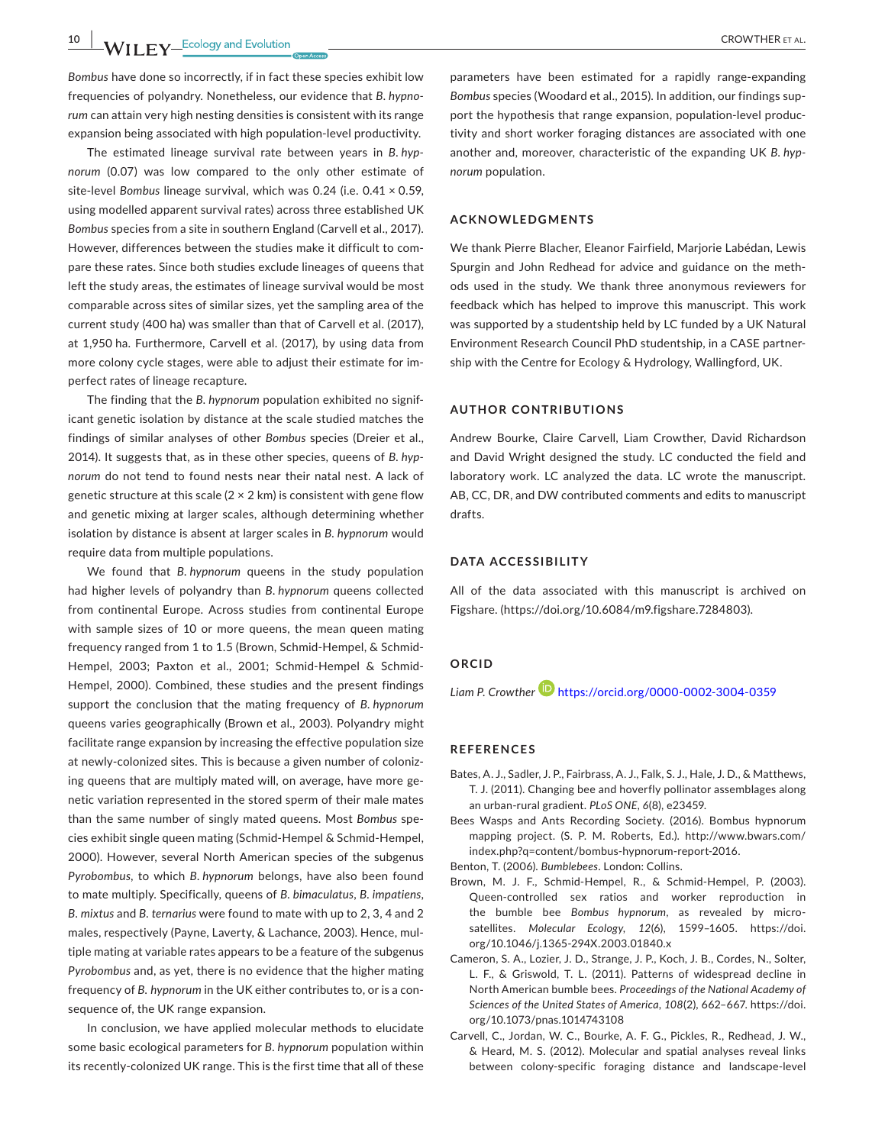*Bombus* have done so incorrectly, if in fact these species exhibit low frequencies of polyandry. Nonetheless, our evidence that *B. hypnorum* can attain very high nesting densities is consistent with its range expansion being associated with high population‐level productivity.

The estimated lineage survival rate between years in *B. hypnorum* (0.07) was low compared to the only other estimate of site‐level *Bombus* lineage survival, which was 0.24 (i.e. 0.41 × 0.59, using modelled apparent survival rates) across three established UK *Bombus* species from a site in southern England (Carvell et al., 2017). However, differences between the studies make it difficult to com‐ pare these rates. Since both studies exclude lineages of queens that left the study areas, the estimates of lineage survival would be most comparable across sites of similar sizes, yet the sampling area of the current study (400 ha) was smaller than that of Carvell et al. (2017), at 1,950 ha. Furthermore, Carvell et al. (2017), by using data from more colony cycle stages, were able to adjust their estimate for im‐ perfect rates of lineage recapture.

The finding that the *B. hypnorum* population exhibited no signif‐ icant genetic isolation by distance at the scale studied matches the findings of similar analyses of other *Bombus* species (Dreier et al., 2014). It suggests that, as in these other species, queens of *B. hypnorum* do not tend to found nests near their natal nest. A lack of genetic structure at this scale  $(2 \times 2 \text{ km})$  is consistent with gene flow and genetic mixing at larger scales, although determining whether isolation by distance is absent at larger scales in *B. hypnorum* would require data from multiple populations.

We found that *B. hypnorum* queens in the study population had higher levels of polyandry than *B. hypnorum* queens collected from continental Europe. Across studies from continental Europe with sample sizes of 10 or more queens, the mean queen mating frequency ranged from 1 to 1.5 (Brown, Schmid-Hempel, & Schmid-Hempel, 2003; Paxton et al., 2001; Schmid-Hempel & Schmid-Hempel, 2000). Combined, these studies and the present findings support the conclusion that the mating frequency of *B. hypnorum*  queens varies geographically (Brown et al., 2003). Polyandry might facilitate range expansion by increasing the effective population size at newly-colonized sites. This is because a given number of colonizing queens that are multiply mated will, on average, have more genetic variation represented in the stored sperm of their male mates than the same number of singly mated queens. Most *Bombus* spe‐ cies exhibit single queen mating (Schmid‐Hempel & Schmid‐Hempel, 2000). However, several North American species of the subgenus *Pyrobombus*, to which *B. hypnorum* belongs, have also been found to mate multiply. Specifically, queens of *B. bimaculatus*, *B. impatiens*, *B. mixtus* and *B. ternarius* were found to mate with up to 2, 3, 4 and 2 males, respectively (Payne, Laverty, & Lachance, 2003). Hence, mul‐ tiple mating at variable rates appears to be a feature of the subgenus *Pyrobombus* and, as yet, there is no evidence that the higher mating frequency of *B. hypnorum* in the UK either contributes to, or is a con‐ sequence of, the UK range expansion.

In conclusion, we have applied molecular methods to elucidate some basic ecological parameters for *B. hypnorum* population within its recently‐colonized UK range. This is the first time that all of these

parameters have been estimated for a rapidly range‐expanding *Bombus* species (Woodard et al., 2015). In addition, our findings sup‐ port the hypothesis that range expansion, population‐level produc‐ tivity and short worker foraging distances are associated with one another and, moreover, characteristic of the expanding UK *B. hypnorum* population.

#### **ACKNOWLEDGMENTS**

We thank Pierre Blacher, Eleanor Fairfield, Marjorie Labédan, Lewis Spurgin and John Redhead for advice and guidance on the meth‐ ods used in the study. We thank three anonymous reviewers for feedback which has helped to improve this manuscript. This work was supported by a studentship held by LC funded by a UK Natural Environment Research Council PhD studentship, in a CASE partner‐ ship with the Centre for Ecology & Hydrology, Wallingford, UK.

#### **AUTHOR CONTRIBUTIONS**

Andrew Bourke, Claire Carvell, Liam Crowther, David Richardson and David Wright designed the study. LC conducted the field and laboratory work. LC analyzed the data. LC wrote the manuscript. AB, CC, DR, and DW contributed comments and edits to manuscript drafts.

#### **DATA ACCESSIBILITY**

All of the data associated with this manuscript is archived on Figshare. [\(https://doi.org/10.6084/m9.figshare.7284803](https://doi.org/10.6084/m9.figshare.7284803)).

#### **ORCID**

*Liam P. Crowther* <https://orcid.org/0000-0002-3004-0359>

#### **REFERENCES**

- Bates, A. J., Sadler, J. P., Fairbrass, A. J., Falk, S. J., Hale, J. D., & Matthews, T. J. (2011). Changing bee and hoverfly pollinator assemblages along an urban‐rural gradient. *PLoS ONE*, *6*(8), e23459.
- Bees Wasps and Ants Recording Society. (2016). Bombus hypnorum mapping project. (S. P. M. Roberts, Ed.). http://www.bwars.com/ index.php?q=content/bombus‐hypnorum‐report‐2016.

Benton, T. (2006). *Bumblebees*. London: Collins.

- Brown, M. J. F., Schmid‐Hempel, R., & Schmid‐Hempel, P. (2003). Queen‐controlled sex ratios and worker reproduction in the bumble bee *Bombus hypnorum*, as revealed by micro‐ satellites. *Molecular Ecology*, *12*(6), 1599–1605. [https://doi.](https://doi.org/10.1046/j.1365-294X.2003.01840.x) [org/10.1046/j.1365-294X.2003.01840.x](https://doi.org/10.1046/j.1365-294X.2003.01840.x)
- Cameron, S. A., Lozier, J. D., Strange, J. P., Koch, J. B., Cordes, N., Solter, L. F., & Griswold, T. L. (2011). Patterns of widespread decline in North American bumble bees. *Proceedings of the National Academy of Sciences of the United States of America*, *108*(2), 662–667. [https://doi.](https://doi.org/10.1073/pnas.1014743108) [org/10.1073/pnas.1014743108](https://doi.org/10.1073/pnas.1014743108)
- Carvell, C., Jordan, W. C., Bourke, A. F. G., Pickles, R., Redhead, J. W., & Heard, M. S. (2012). Molecular and spatial analyses reveal links between colony‐specific foraging distance and landscape‐level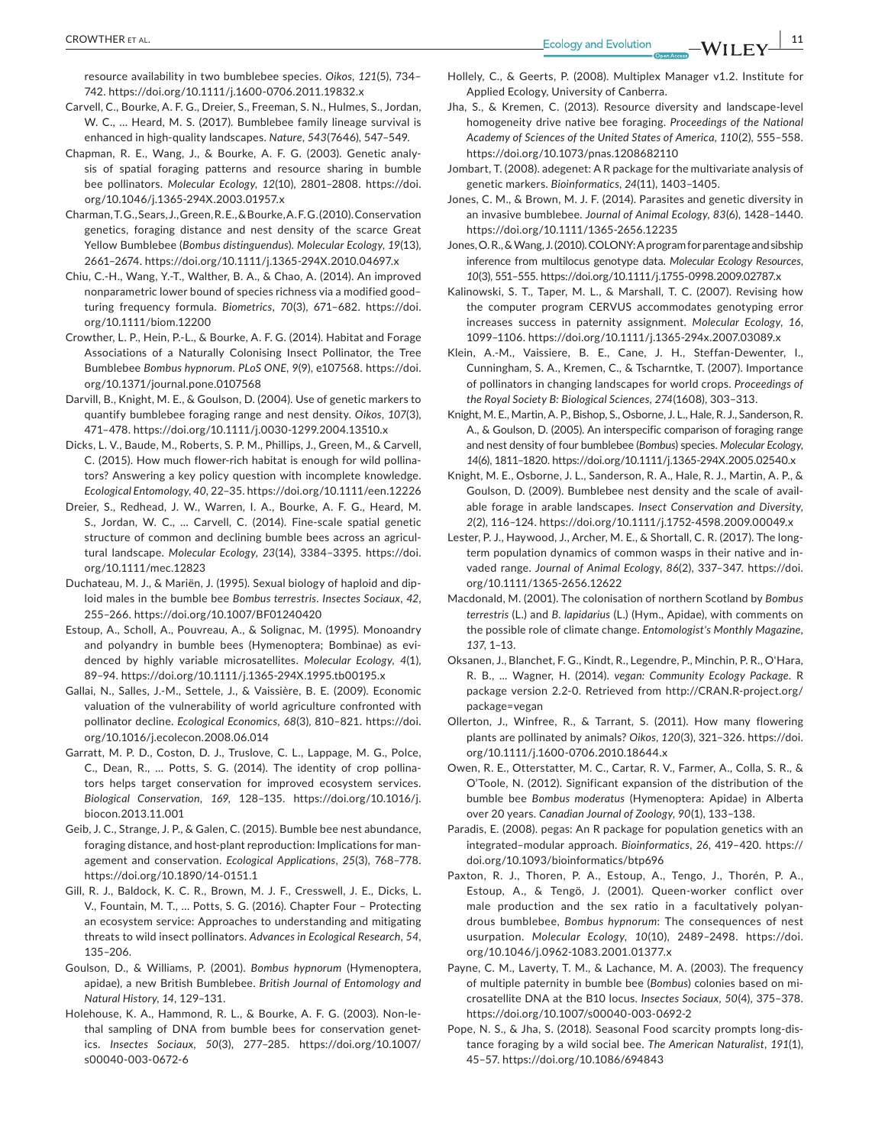resource availability in two bumblebee species. *Oikos*, *121*(5), 734– 742.<https://doi.org/10.1111/j.1600-0706.2011.19832.x>

- Carvell, C., Bourke, A. F. G., Dreier, S., Freeman, S. N., Hulmes, S., Jordan, W. C., … Heard, M. S. (2017). Bumblebee family lineage survival is enhanced in high‐quality landscapes. *Nature*, *543*(7646), 547–549.
- Chapman, R. E., Wang, J., & Bourke, A. F. G. (2003). Genetic analy‐ sis of spatial foraging patterns and resource sharing in bumble bee pollinators. *Molecular Ecology*, *12*(10), 2801–2808. [https://doi.](https://doi.org/10.1046/j.1365-294X.2003.01957.x) [org/10.1046/j.1365-294X.2003.01957.x](https://doi.org/10.1046/j.1365-294X.2003.01957.x)
- Charman, T. G., Sears, J., Green, R. E., & Bourke, A. F. G. (2010). Conservation genetics, foraging distance and nest density of the scarce Great Yellow Bumblebee (*Bombus distinguendus*). *Molecular Ecology*, *19*(13), 2661–2674.<https://doi.org/10.1111/j.1365-294X.2010.04697.x>
- Chiu, C.‐H., Wang, Y.‐T., Walther, B. A., & Chao, A. (2014). An improved nonparametric lower bound of species richness via a modified good– turing frequency formula. *Biometrics*, *70*(3), 671–682. [https://doi.](https://doi.org/10.1111/biom.12200) [org/10.1111/biom.12200](https://doi.org/10.1111/biom.12200)
- Crowther, L. P., Hein, P.‐L., & Bourke, A. F. G. (2014). Habitat and Forage Associations of a Naturally Colonising Insect Pollinator, the Tree Bumblebee *Bombus hypnorum*. *PLoS ONE*, *9*(9), e107568. [https://doi.](https://doi.org/10.1371/journal.pone.0107568) [org/10.1371/journal.pone.0107568](https://doi.org/10.1371/journal.pone.0107568)
- Darvill, B., Knight, M. E., & Goulson, D. (2004). Use of genetic markers to quantify bumblebee foraging range and nest density. *Oikos*, *107*(3), 471–478.<https://doi.org/10.1111/j.0030-1299.2004.13510.x>
- Dicks, L. V., Baude, M., Roberts, S. P. M., Phillips, J., Green, M., & Carvell, C. (2015). How much flower‐rich habitat is enough for wild pollina‐ tors? Answering a key policy question with incomplete knowledge. *Ecological Entomology*, *40*, 22–35.<https://doi.org/10.1111/een.12226>
- Dreier, S., Redhead, J. W., Warren, I. A., Bourke, A. F. G., Heard, M. S., Jordan, W. C., … Carvell, C. (2014). Fine‐scale spatial genetic structure of common and declining bumble bees across an agricul‐ tural landscape. *Molecular Ecology*, *23*(14), 3384–3395. [https://doi.](https://doi.org/10.1111/mec.12823) [org/10.1111/mec.12823](https://doi.org/10.1111/mec.12823)
- Duchateau, M. J., & Mariën, J. (1995). Sexual biology of haploid and dip‐ loid males in the bumble bee *Bombus terrestris*. *Insectes Sociaux*, *42*, 255–266. <https://doi.org/10.1007/BF01240420>
- Estoup, A., Scholl, A., Pouvreau, A., & Solignac, M. (1995). Monoandry and polyandry in bumble bees (Hymenoptera; Bombinae) as evi‐ denced by highly variable microsatellites. *Molecular Ecology*, *4*(1), 89–94. <https://doi.org/10.1111/j.1365-294X.1995.tb00195.x>
- Gallai, N., Salles, J.‐M., Settele, J., & Vaissière, B. E. (2009). Economic valuation of the vulnerability of world agriculture confronted with pollinator decline. *Ecological Economics*, *68*(3), 810–821. [https://doi.](https://doi.org/10.1016/j.ecolecon.2008.06.014) [org/10.1016/j.ecolecon.2008.06.014](https://doi.org/10.1016/j.ecolecon.2008.06.014)
- Garratt, M. P. D., Coston, D. J., Truslove, C. L., Lappage, M. G., Polce, C., Dean, R., … Potts, S. G. (2014). The identity of crop pollina‐ tors helps target conservation for improved ecosystem services. *Biological Conservation*, *169*, 128–135. [https://doi.org/10.1016/j.](https://doi.org/10.1016/j.biocon.2013.11.001) [biocon.2013.11.001](https://doi.org/10.1016/j.biocon.2013.11.001)
- Geib, J. C., Strange, J. P., & Galen, C. (2015). Bumble bee nest abundance, foraging distance, and host‐plant reproduction: Implications for man‐ agement and conservation. *Ecological Applications*, *25*(3), 768–778. <https://doi.org/10.1890/14-0151.1>
- Gill, R. J., Baldock, K. C. R., Brown, M. J. F., Cresswell, J. E., Dicks, L. V., Fountain, M. T., … Potts, S. G. (2016). Chapter Four – Protecting an ecosystem service: Approaches to understanding and mitigating threats to wild insect pollinators. *Advances in Ecological Research*, *54*, 135–206.
- Goulson, D., & Williams, P. (2001). *Bombus hypnorum* (Hymenoptera, apidae), a new British Bumblebee. *British Journal of Entomology and Natural History*, *14*, 129–131.
- Holehouse, K. A., Hammond, R. L., & Bourke, A. F. G. (2003). Non‐le‐ thal sampling of DNA from bumble bees for conservation genetics. *Insectes Sociaux*, *50*(3), 277–285. [https://doi.org/10.1007/](https://doi.org/10.1007/s00040-003-0672-6) [s00040-003-0672-6](https://doi.org/10.1007/s00040-003-0672-6)
- Hollely, C., & Geerts, P. (2008). Multiplex Manager v1.2. Institute for
- Applied Ecology, University of Canberra. Jha, S., & Kremen, C. (2013). Resource diversity and landscape‐level homogeneity drive native bee foraging. *Proceedings of the National Academy of Sciences of the United States of America*, *110*(2), 555–558. <https://doi.org/10.1073/pnas.1208682110>
- Jombart, T. (2008). adegenet: A R package for the multivariate analysis of genetic markers. *Bioinformatics*, *24*(11), 1403–1405.
- Jones, C. M., & Brown, M. J. F. (2014). Parasites and genetic diversity in an invasive bumblebee. *Journal of Animal Ecology*, *83*(6), 1428–1440. <https://doi.org/10.1111/1365-2656.12235>
- Jones, O. R., & Wang, J. (2010). COLONY: A program for parentage and sibship inference from multilocus genotype data. *Molecular Ecology Resources*, *10*(3), 551–555.<https://doi.org/10.1111/j.1755-0998.2009.02787.x>
- Kalinowski, S. T., Taper, M. L., & Marshall, T. C. (2007). Revising how the computer program CERVUS accommodates genotyping error increases success in paternity assignment. *Molecular Ecology*, *16*, 1099–1106. <https://doi.org/10.1111/j.1365-294x.2007.03089.x>
- Klein, A.‐M., Vaissiere, B. E., Cane, J. H., Steffan‐Dewenter, I., Cunningham, S. A., Kremen, C., & Tscharntke, T. (2007). Importance of pollinators in changing landscapes for world crops. *Proceedings of the Royal Society B: Biological Sciences*, *274*(1608), 303–313.
- Knight, M. E., Martin, A. P., Bishop, S., Osborne, J. L., Hale, R. J., Sanderson, R. A., & Goulson, D. (2005). An interspecific comparison of foraging range and nest density of four bumblebee (*Bombus*) species. *Molecular Ecology*, *14*(6), 1811–1820.<https://doi.org/10.1111/j.1365-294X.2005.02540.x>
- Knight, M. E., Osborne, J. L., Sanderson, R. A., Hale, R. J., Martin, A. P., & Goulson, D. (2009). Bumblebee nest density and the scale of avail‐ able forage in arable landscapes. *Insect Conservation and Diversity*, *2*(2), 116–124. <https://doi.org/10.1111/j.1752-4598.2009.00049.x>
- Lester, P. J., Haywood, J., Archer, M. E., & Shortall, C. R. (2017). The long‐ term population dynamics of common wasps in their native and in‐ vaded range. *Journal of Animal Ecology*, *86*(2), 337–347. [https://doi.](https://doi.org/10.1111/1365-2656.12622) [org/10.1111/1365-2656.12622](https://doi.org/10.1111/1365-2656.12622)
- Macdonald, M. (2001). The colonisation of northern Scotland by *Bombus terrestris* (L.) and *B. lapidarius* (L.) (Hym., Apidae), with comments on the possible role of climate change. *Entomologist's Monthly Magazine*, *137*, 1–13.
- Oksanen, J., Blanchet, F. G., Kindt, R., Legendre, P., Minchin, P. R., O'Hara, R. B., ... Wagner, H. (2014). *vegan: Community Ecology Package*. R package version 2.2-0. Retrieved from [http://CRAN.R-project.org/](http://CRAN.R-project.org/package=vegan) [package=vegan](http://CRAN.R-project.org/package=vegan)
- Ollerton, J., Winfree, R., & Tarrant, S. (2011). How many flowering plants are pollinated by animals? *Oikos*, *120*(3), 321–326. [https://doi.](https://doi.org/10.1111/j.1600-0706.2010.18644.x) [org/10.1111/j.1600-0706.2010.18644.x](https://doi.org/10.1111/j.1600-0706.2010.18644.x)
- Owen, R. E., Otterstatter, M. C., Cartar, R. V., Farmer, A., Colla, S. R., & O'Toole, N. (2012). Significant expansion of the distribution of the bumble bee *Bombus moderatus* (Hymenoptera: Apidae) in Alberta over 20 years. *Canadian Journal of Zoology*, *90*(1), 133–138.
- Paradis, E. (2008). pegas: An R package for population genetics with an integrated–modular approach. *Bioinformatics*, *26*, 419–420. [https://](https://doi.org/10.1093/bioinformatics/btp696) [doi.org/10.1093/bioinformatics/btp696](https://doi.org/10.1093/bioinformatics/btp696)
- Paxton, R. J., Thoren, P. A., Estoup, A., Tengo, J., Thorén, P. A., Estoup, A., & Tengö, J. (2001). Queen‐worker conflict over male production and the sex ratio in a facultatively polyan‐ drous bumblebee, *Bombus hypnorum*: The consequences of nest usurpation. *Molecular Ecology*, *10*(10), 2489–2498. [https://doi.](https://doi.org/10.1046/j.0962-1083.2001.01377.x) [org/10.1046/j.0962-1083.2001.01377.x](https://doi.org/10.1046/j.0962-1083.2001.01377.x)
- Payne, C. M., Laverty, T. M., & Lachance, M. A. (2003). The frequency of multiple paternity in bumble bee (*Bombus*) colonies based on mi‐ crosatellite DNA at the B10 locus. *Insectes Sociaux*, *50*(4), 375–378. <https://doi.org/10.1007/s00040-003-0692-2>
- Pope, N. S., & Jha, S. (2018). Seasonal Food scarcity prompts long‐dis‐ tance foraging by a wild social bee. *The American Naturalist*, *191*(1), 45–57.<https://doi.org/10.1086/694843>